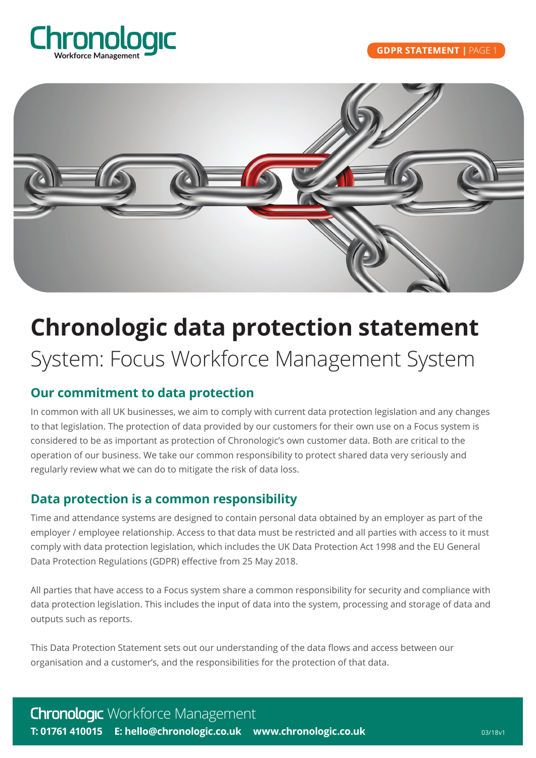



# **Chronologic data protection statement**

## System: Focus Workforce Management System

## **Our commitment to data protection**

In common with all UK businesses, we aim to comply with current data protection legislation and any changes to that legislation. The protection of data provided by our customers for their own use on a Focus system is considered to be as important as protection of Chronologic's own customer data. Both are critical to the operation of our business. We take our common responsibility to protect shared data very seriously and regularly review what we can do to mitigate the risk of data loss.

## **Data protection is a common responsibility**

Time and attendance systems are designed to contain personal data obtained by an employer as part of the employer / employee relationship. Access to that data must be restricted and all parties with access to it must comply with data protection legislation, which includes the UK Data Protection Act 1998 and the EU General Data Protection Regulations (GDPR) effective from 25 May 2018.

All parties that have access to a Focus system share a common responsibility for security and compliance with data protection legislation. This includes the input of data into the system, processing and storage of data and outputs such as reports.

This Data Protection Statement sets out our understanding of the data flows and access between our organisation and a customer's, and the responsibilities for the protection of that data.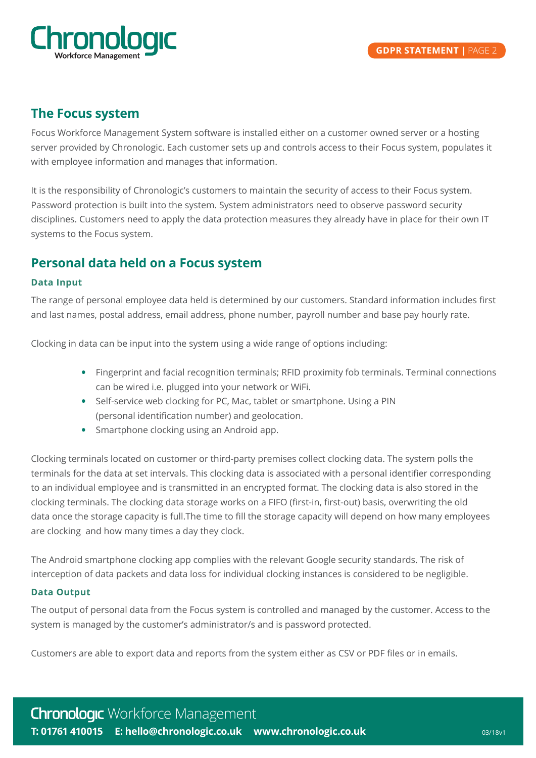

## **The Focus system**

Focus Workforce Management System software is installed either on a customer owned server or a hosting server provided by Chronologic. Each customer sets up and controls access to their Focus system, populates it with employee information and manages that information.

It is the responsibility of Chronologic's customers to maintain the security of access to their Focus system. Password protection is built into the system. System administrators need to observe password security disciplines. Customers need to apply the data protection measures they already have in place for their own IT systems to the Focus system.

## **Personal data held on a Focus system**

#### **Data Input**

The range of personal employee data held is determined by our customers. Standard information includes first and last names, postal address, email address, phone number, payroll number and base pay hourly rate.

Clocking in data can be input into the system using a wide range of options including:

- Fingerprint and facial recognition terminals; RFID proximity fob terminals. Terminal connections can be wired i.e. plugged into your network or WiFi.
- Self-service web clocking for PC, Mac, tablet or smartphone. Using a PIN (personal identification number) and geolocation.
- Smartphone clocking using an Android app.

Clocking terminals located on customer or third-party premises collect clocking data. The system polls the terminals for the data at set intervals. This clocking data is associated with a personal identifier corresponding to an individual employee and is transmitted in an encrypted format. The clocking data is also stored in the clocking terminals. The clocking data storage works on a FIFO (first-in, first-out) basis, overwriting the old data once the storage capacity is full.The time to fill the storage capacity will depend on how many employees are clocking and how many times a day they clock.

The Android smartphone clocking app complies with the relevant Google security standards. The risk of interception of data packets and data loss for individual clocking instances is considered to be negligible.

#### **Data Output**

The output of personal data from the Focus system is controlled and managed by the customer. Access to the system is managed by the customer's administrator/s and is password protected.

Customers are able to export data and reports from the system either as CSV or PDF files or in emails.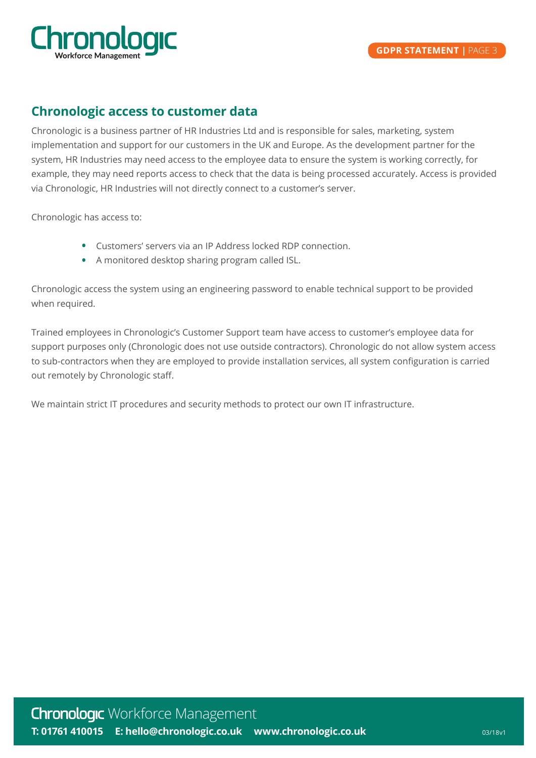

## **Chronologic access to customer data**

Chronologic is a business partner of HR Industries Ltd and is responsible for sales, marketing, system implementation and support for our customers in the UK and Europe. As the development partner for the system, HR Industries may need access to the employee data to ensure the system is working correctly, for example, they may need reports access to check that the data is being processed accurately. Access is provided via Chronologic, HR Industries will not directly connect to a customer's server.

Chronologic has access to:

- Customers' servers via an IP Address locked RDP connection.
- •A monitored desktop sharing program called ISL.

Chronologic access the system using an engineering password to enable technical support to be provided when required.

Trained employees in Chronologic's Customer Support team have access to customer's employee data for support purposes only (Chronologic does not use outside contractors). Chronologic do not allow system access to sub-contractors when they are employed to provide installation services, all system configuration is carried out remotely by Chronologic staff.

We maintain strict IT procedures and security methods to protect our own IT infrastructure.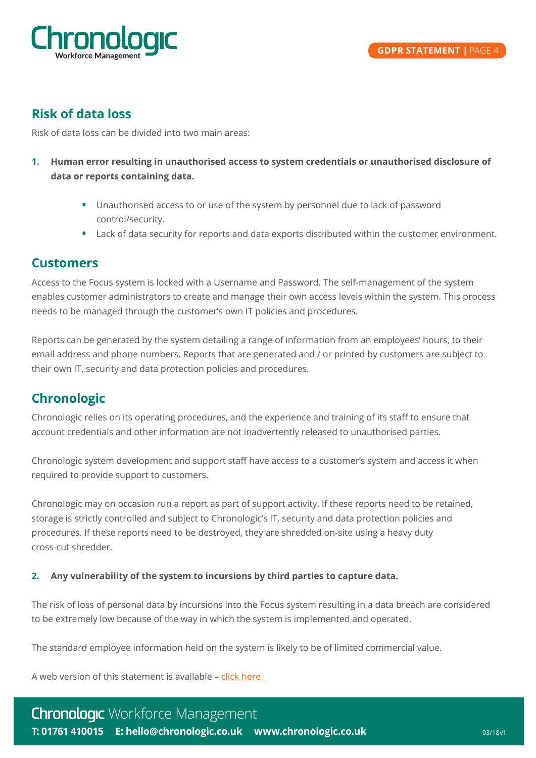

## **Risk of data loss**

Risk of data loss can be divided into two main areas:

- **1. Human error resulting in unauthorised access to system credentials or unauthorised disclosure of data or reports containing data.**
	- Unauthorised access to or use of the system by personnel due to lack of password control/security.
	- Lack of data security for reports and data exports distributed within the customer environment.

### **Customers**

Access to the Focus system is locked with a Username and Password. The self-management of the system enables customer administrators to create and manage their own access levels within the system. This process needs to be managed through the customer's own IT policies and procedures.

Reports can be generated by the system detailing a range of information from an employees' hours, to their email address and phone numbers. Reports that are generated and / or printed by customers are subject to their own IT, security and data protection policies and procedures.

## **Chronologic**

Chronologic relies on its operating procedures, and the experience and training of its staff to ensure that account credentials and other information are not inadvertently released to unauthorised parties.

Chronologic system development and support staff have access to a customer's system and access it when required to provide support to customers.

Chronologic may on occasion run a report as part of support activity. If these reports need to be retained, storage is strictly controlled and subject to Chronologic's IT, security and data protection policies and procedures. If these reports need to be destroyed, they are shredded on-site using a heavy duty cross-cut shredder.

#### **2. Any vulnerability of the system to incursions by third parties to capture data.**

The risk of loss of personal data by incursions into the Focus system resulting in a data breach are considered to be extremely low because of the way in which the system is implemented and operated.

The standard employee information held on the system is likely to be of limited commercial value.

A web version of this statement is available – [click here](https://www.chronologic.co.uk/chronologic-data-protection-statement-focus/)